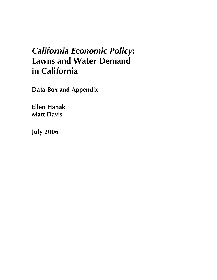## *California Economic Policy***: Lawns and Water Demand in California**

**Data Box and Appendix** 

**Ellen Hanak Matt Davis** 

**July 2006**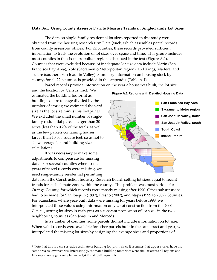## **Data Box: Using County Assessor Data to Measure Trends in Single‐Family Lot Sizes**

The data on single-family residential lot sizes reported in this study were obtained from the housing research firm DataQuick, which assembles parcel records from county assessors' offices. For 22 counties, these records provided sufficient information to track the evolution of lot sizes over space and time. This group includes most counties in the six metropolitan regions discussed in the text (Figure A.1). Counties that were excluded because of inadequate lot size data include Marin (San Francisco Bay Area); Yolo (Sacramento Metropolitan region); and Kings, Madera, and Tulare (southern San Joaquin Valley). Summary information on housing stock by county, for all 22 counties, is provided in this appendix (Table A.1).

Parcel records provide information on the year a house was built, the lot size,

and the location by Census tract. We estimated the building footprint as building square footage divided by the number of stories; we estimated the yard size as the lot size minus this footprint.<sup>[1](#page-1-0)</sup> We excluded the small number of singlefamily residential parcels larger than 20 acres (less than 0.2% of the total), as well as the few parcels containing houses larger than 10,000 square feet, so as not to skew average lot and building size calculations.

It was necessary to make some adjustments to compensate for missing data. For several counties where some years of parcel records were missing, we used single‐family residential permitting

 $\overline{a}$ 

data from the Construction Industry Research Board, setting lot sizes equal to recent trends for each climate zone within the county. This problem was most serious for Orange County, for which records were mostly missing after 1990. Other substitutions had to be made for San Joaquin (1997), Fresno (2002), and Napa (1999 to 2002) Counties. For Stanislaus, where year‐built data were missing for years before 1998, we interpolated these values using information on year of construction from the 2000 Census, setting lot sizes in each year as a constant proportion of lot sizes in the two neighboring counties (San Joaquin and Merced).

In a number of counties, some parcels did not include information on lot size. When valid records were available for other parcels built in the same tract and year, we interpolated the missing lot sizes by assigning the average sizes and proportions of



**Figure A.1 Regions with Detailed Housing Data**

<span id="page-1-0"></span> $1$  Note that this is a conservative estimate of building footprint, since it assumes that upper stories have the same area as lower stories. Interestingly, estimated building footprints were similar across all regions and ET0 superzones, generally between 1,400 and 1,500 square feet.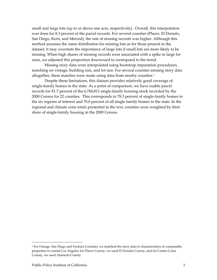small and large lots (up to or above one acre, respectively). Overall, this interpolation was done for 8.3 percent of the parcel records. For several counties (Placer, El Dorado, San Diego, Kern, and Merced), the rate of missing records was higher. Although this method assumes the same distribution for missing lots as for those present in the dataset, it may overstate the importance of large lots if small lots are more likely to be missing. When high shares of missing records were associated with a spike in large lot sizes, we adjusted this proportion downward to correspond to the trend.

Missing story data were interpolated using bootstrap imputation procedures, matching on vintage, building size, and lot size. For several counties missing story data altogether, these matches were made using data from nearby counties.<sup>[2](#page-2-0)</sup>

Despite these limitations, this dataset provides relatively good coverage of single‐family homes in the state. As a point of comparison, we have usable parcel records for 81.7 percent of the 6,768,811 single‐family housing stock recorded by the 2000 Census for 22 counties. This corresponds to 78.3 percent of single‐family homes in the six regions of interest and 70.8 percent of all single‐family homes in the state. In the regional and climate zone totals presented in the text, counties were weighted by their share of single‐family housing in the 2000 Census.

 $\overline{a}$ 

<span id="page-2-0"></span><sup>&</sup>lt;sup>2</sup> For Orange, San Diego and Ventura Counties, we matched the story data to characteristics of comparable properties in coastal Los Angeles; for Placer County, we used El Dorado County, and for Contra Costa County, we used Alameda County.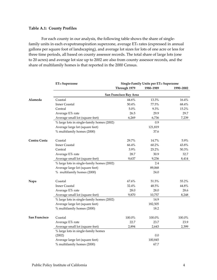## **Table A.1: County Profiles**

For each county in our analysis, the following table shows the share of singlefamily units in each evapotranspiration superzone, average ET<sub>0</sub> rates (expressed in annual gallons per square foot of landscaping), and average lot sizes for lots of one acre or less for three time periods, all based on county assessor records. The total share of large lots (one to 20 acres) and average lot size up to 2002 are also from county assessor records, and the share of multifamily homes is that reported in the 2000 Census.

|               | <b>ETo Superzone</b>                       | Single-Family Units per ETo Superzone |           |           |  |
|---------------|--------------------------------------------|---------------------------------------|-----------|-----------|--|
|               |                                            | Through 1979                          | 1980-1989 | 1990-2002 |  |
|               | San Francisco Bay Area                     |                                       |           |           |  |
| Alameda       | Coastal                                    | 44.6%                                 | 13.3%     | 16.4%     |  |
|               | <b>Inner Coastal</b>                       | 50.4%                                 | 77.5%     | 68.4%     |  |
|               | Central                                    | 5.0%                                  | 9.3%      | 15.2%     |  |
|               | Average ET <sub>0</sub> rate               | 26.5                                  | 29.9      | 29.7      |  |
|               | Average small lot (square feet)            | 6,269                                 | 6,736     | 7,239     |  |
|               | % large lots in single-family homes (2002) |                                       | 0.9       |           |  |
|               | Average large lot (square feet)            |                                       | 121,819   |           |  |
|               | % multifamily homes (2000)                 |                                       | 37.6      |           |  |
| Contra Costa  | Coastal                                    | 29.7%                                 | 14.7%     | 5.9%      |  |
|               | <b>Inner Coastal</b>                       | 66.4%                                 | 60.2%     | 43.8%     |  |
|               | Central                                    | 3.9%                                  | 25.2%     | 50.3%     |  |
|               | Average ET <sub>0</sub> rate               | 28.7                                  | 30.9      | 32.7      |  |
|               | Average small lot (square feet)            | 9,637                                 | 9,236     | 8,414     |  |
|               | % large lots in single-family homes (2002) |                                       | 2.4       |           |  |
|               | Average large lot (square feet)            |                                       | 89,068    |           |  |
|               | % multifamily homes (2000)                 |                                       | 24.0      |           |  |
| Napa          | Coastal                                    | 67.6%                                 | 51.5%     | 55.2%     |  |
|               | <b>Inner Coastal</b>                       | 32.4%                                 | 48.5%     | 44.8%     |  |
|               | Average ET <sub>0</sub> rate               | 28.0                                  | 28.0      | 28.6      |  |
|               | Average small lot (square feet)            | 9,870                                 | 10,757    | 8,248     |  |
|               | % large lots in single-family homes (2002) |                                       | 14.9      |           |  |
|               | Average large lot (square feet)            |                                       | 182,505   |           |  |
|               | % multifamily homes (2000)                 |                                       | 18.2      |           |  |
| San Francisco | Coastal                                    | 100.0%                                | 100.0%    | 100.0%    |  |
|               | Average ET <sub>0</sub> rate               | 22.7                                  | 23.7      | 23.9      |  |
|               | Average small lot (square feet)            | 2,894                                 | 2,643     | 2,399     |  |
|               | % large lots in single-family homes        |                                       |           |           |  |
|               | (2002)                                     |                                       | 0.0       |           |  |
|               | Average large lot (square feet)            |                                       | 100,845   |           |  |
|               | % multifamily homes (2000)                 |                                       | 67.7      |           |  |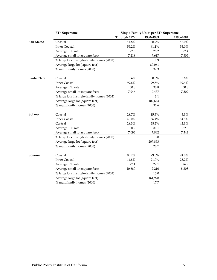|             | <b>ETo Superzone</b>                       | Single-Family Units per ETo Superzone |           |           |
|-------------|--------------------------------------------|---------------------------------------|-----------|-----------|
|             |                                            | Through 1979                          | 1980-1989 | 1990-2002 |
| San Mateo   | Coastal                                    | 44.8%                                 | 38.9%     | 47.0%     |
|             | <b>Inner Coastal</b>                       | 55.2%                                 | 61.1%     | 53.0%     |
|             | Average ET <sub>0</sub> rate               | 27.5                                  | 28.2      | 27.4      |
|             | Average small lot (square feet)            | 7,218                                 | 7,617     | 7,505     |
|             | % large lots in single-family homes (2002) |                                       | 1.9       |           |
|             | Average large lot (square feet)            |                                       | 87,061    |           |
|             | % multifamily homes (2000)                 |                                       | 32.3      |           |
| Santa Clara | Coastal                                    | 0.4%                                  | 0.5%      | 0.6%      |
|             | <b>Inner Coastal</b>                       | 99.6%                                 | 99.5%     | 99.4%     |
|             | Average ET <sub>0</sub> rate               | 30.8                                  | 30.8      | 30.8      |
|             | Average small lot (square feet)            | 7,946                                 | 7,437     | 7,502     |
|             | % large lots in single-family homes (2002) |                                       | 3.1       |           |
|             | Average large lot (square feet)            |                                       | 102,643   |           |
|             | % multifamily homes (2000)                 |                                       | 31.6      |           |
| Solano      | Coastal                                    | 28.7%                                 | 15.3%     | 3.3%      |
|             | <b>Inner Coastal</b>                       | 43.0%                                 | 56.4%     | 54.5%     |
|             | Central                                    | 28.3%                                 | 28.2%     | 42.3%     |
|             | Average ET <sub>0</sub> rate               | 30.2                                  | 31.1      | 32.0      |
|             | Average small lot (square feet)            | 7,096                                 | 7,842     | 7,344     |
|             | % large lots in single-family homes (2002) |                                       | 3.0       |           |
|             | Average large lot (square feet)            |                                       | 207,893   |           |
|             | % multifamily homes (2000)                 |                                       | 20.7      |           |
| Sonoma      | Coastal                                    | 85.2%                                 | 79.0%     | 74.8%     |
|             | <b>Inner Coastal</b>                       | 14.8%                                 | 21.0%     | 25.2%     |
|             | Average ET <sub>0</sub> rate               | 27.1                                  | 27.1      | 26.9      |
|             | Average small lot (square feet)            | 10,680                                | 9,210     | 8,308     |
|             | % large lots in single-family homes (2002) |                                       | 15.0      |           |
|             | Average large lot (square feet)            |                                       | 161,978   |           |
|             | % multifamily homes (2000)                 |                                       | 17.7      |           |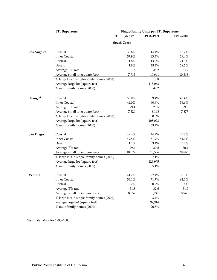|                     | <b>ETo Superzone</b>                       | Single-Family Units per ETo Superzone |           |           |
|---------------------|--------------------------------------------|---------------------------------------|-----------|-----------|
|                     |                                            | Through 1979                          | 1980-1989 | 1990-2002 |
|                     |                                            | <b>South Coast</b>                    |           |           |
| <b>Los Angeles</b>  | Coastal                                    | 38.6%                                 | 14.4%     | 17.2%     |
|                     | <b>Inner Coastal</b>                       | 57.9%                                 | 43.3%     | 29.4%     |
|                     | Central                                    | 1.8%                                  | 13.9%     | 24.9%     |
|                     | Desert                                     | 1.8%                                  | 28.4%     | 28.5%     |
|                     | Average ET <sub>0</sub> rate               | 31.5                                  | 35.2      | 34.9      |
|                     | Average small lot (square feet)            | 7,913                                 | 10,641    | 10,318    |
|                     | % large lots in single-family homes (2002) |                                       | 1.8       |           |
|                     | Average large lot (square feet)            |                                       | 115,063   |           |
|                     | % multifamily homes (2000)                 |                                       | 42.2      |           |
| Orange <sup>a</sup> | Coastal                                    | 56.0%                                 | 39.4%     | 43.4%     |
|                     | <b>Inner Coastal</b>                       | 44.0%                                 | 60.6%     | 56.6%     |
|                     | Average ET <sub>0</sub> rate               | 29.1                                  | 29.5      | 29.6      |
|                     | Average small lot (square feet)            | 7,320                                 | 8,148     | 7,877     |
|                     | % large lots in single-family homes (2002) |                                       | 0.5%      |           |
|                     | Average large lot (square feet)            |                                       | 108,098   |           |
|                     | % multifamily homes (2000)                 |                                       | 33.2%     |           |
| San Diego           | Coastal                                    | 49.4%                                 | 44.7%     | 45.8%     |
|                     | <b>Inner Coastal</b>                       | 49.5%                                 | 51.9%     | 51.0%     |
|                     | Desert                                     | 1.1%                                  | 3.4%      | 3.2%      |
|                     | Average ET <sub>0</sub> rate               | 29.4                                  | 30.5      | 30.4      |
|                     | Average small lot (square feet)            | 10,677                                | 18,536    | 20,866    |
|                     | % large lots in single-family homes (2002) |                                       | 7.1%      |           |
|                     | Average large lot (square feet)            |                                       | 129,975   |           |
|                     | % multifamily homes (2000)                 |                                       | 35.1%     |           |
| Ventura             | Coastal                                    | 41.7%                                 | 27.4%     | 37.3%     |
|                     | <b>Inner Coastal</b>                       | 56.1%                                 | 71.7%     | 62.1%     |
|                     | Central                                    | 2.2%                                  | 0.9%      | 0.6%      |
|                     | Average ET <sub>0</sub> rate               | 31.8                                  | 32.6      | 31.9      |
|                     | Average small lot (square feet)            | 8,857                                 | 9,741     | 8,946     |
|                     | % large lots in single-family homes (2002) |                                       | 3.4%      |           |
|                     | average large lot (square feet)            |                                       | 97,914    |           |
|                     | % multifamily homes (2000)                 |                                       | 20.5%     |           |

aEstimated data for 1990–2000.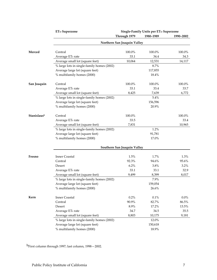|             | <b>ETo Superzone</b>                       | Single-Family Units per ETo Superzone |           |           |
|-------------|--------------------------------------------|---------------------------------------|-----------|-----------|
|             |                                            | Through 1979                          | 1980-1989 | 1990-2002 |
|             |                                            | Northern San Joaquin Valley           |           |           |
| Merced      | Central                                    | 100.0%                                | 100.0%    | 100.0%    |
|             | Average ET <sub>0</sub> rate               | 33.1                                  | 34.4      | 34.3      |
|             | Average small lot (square feet)            | 10,064                                | 12,531    | 14,117    |
|             | % large lots in single-family homes (2002) |                                       | 8.7%      |           |
|             | Average large lot (square feet)            |                                       | 117,855   |           |
|             | % multifamily homes (2000)                 |                                       | 18.4%     |           |
| San Joaquin | Central                                    | 100.0%                                | 100.0%    | 100.0%    |
|             | Average ET <sub>0</sub> rate               | 33.1                                  | 33.4      | 33.7      |
|             | Average small lot (square feet)            | 8,425                                 | 7,639     | 6,772     |
|             | % large lots in single-family homes (2002) |                                       | 5.4%      |           |
|             | Average large lot (square feet)            |                                       | 156,596   |           |
|             | % multifamily homes (2000)                 |                                       | 20.9%     |           |
| Stanislausb | Central                                    | 100.0%                                |           | 100.0%    |
|             | Average ET <sub>0</sub> rate               | 33.5                                  |           | 33.4      |
|             | Average small lot (square feet)            | 7,831                                 |           | 10,965    |
|             | % large lots in single-family homes (2002) |                                       | 1.2%      |           |
|             | Average large lot (square feet)            |                                       | 91,781    |           |
|             | % multifamily homes (2000)                 |                                       | 17.0%     |           |
|             |                                            | Southern San Joaquin Valley           |           |           |
| Fresno      | <b>Inner Coastal</b>                       | 1.5%                                  | 1.7%      | 1.3%      |
|             | Central                                    | 92.3%                                 | 94.6%     | 95.6%     |
|             | Desert                                     | 6.2%                                  | 3.8%      | 3.2%      |
|             | Average ET <sub>0</sub> rate               | 33.1                                  | 33.1      | 32.9      |
|             | Average small lot (square feet)            | 9,499                                 | 8,399     | 8,017     |
|             | % large lots in single-family homes (2002) |                                       | 7.9%      |           |
|             | Average large lot (square feet)            |                                       | 159,054   |           |
|             | % multifamily homes (2000)                 |                                       | 26.6%     |           |
| Kern        | <b>Inner Coastal</b>                       | $0.2\%$                               | $0.1\%$   | $0.0\%$   |
|             | Central                                    | 90.9%                                 | 82.7%     | 86.5%     |
|             | Desert                                     | 8.9%                                  | 17.2%     | 13.5%     |
|             | Average ET <sub>0</sub> rate               | 34.7                                  | 34.5      | 35.5      |
|             | Average small lot (square feet)            | 8,803                                 | 10,175    | 9,181     |
|             | % large lots in single-family homes (2002) |                                       | 12.0%     |           |
|             | Average large lot (square feet)            |                                       | 150,618   |           |
|             | % multifamily homes (2000)                 |                                       | 18.9%     |           |
|             |                                            |                                       |           |           |

bFirst column through 1997; last column, 1998—2002.